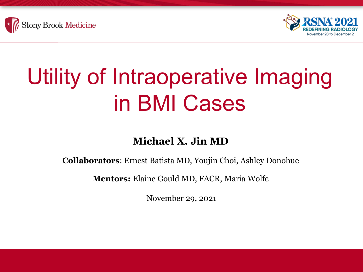



# Utility of Intraoperative Imaging in BMI Cases

#### **Michael X. Jin MD**

**Collaborators**: Ernest Batista MD, Youjin Choi, Ashley Donohue

**Mentors:** Elaine Gould MD, FACR, Maria Wolfe

November 29, 2021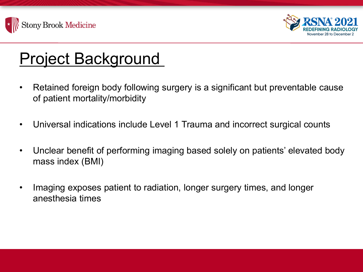



#### Project Background

- Retained foreign body following surgery is a significant but preventable cause of patient mortality/morbidity
- Universal indications include Level 1 Trauma and incorrect surgical counts
- Unclear benefit of performing imaging based solely on patients' elevated body mass index (BMI)
- Imaging exposes patient to radiation, longer surgery times, and longer anesthesia times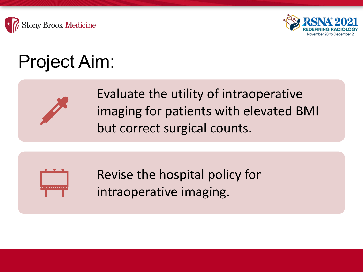



# Project Aim:



Evaluate the utility of intraoperative imaging for patients with elevated BMI but correct surgical counts.



Revise the hospital policy for intraoperative imaging.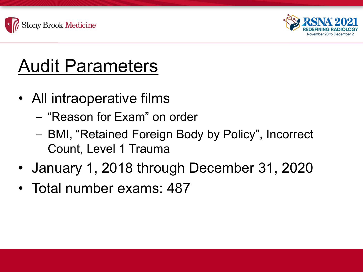



# Audit Parameters

- All intraoperative films
	- "Reason for Exam" on order
	- BMI, "Retained Foreign Body by Policy", Incorrect Count, Level 1 Trauma
- January 1, 2018 through December 31, 2020
- Total number exams: 487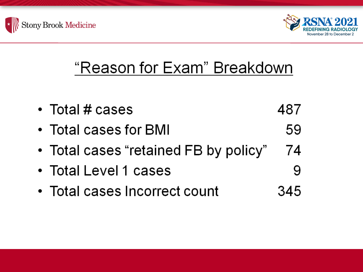



#### "Reason for Exam" Breakdown

• Total # cases 487 • Total cases for BMI 59 • Total cases "retained FB by policy" 74 • Total Level 1 cases 9 • Total cases Incorrect count 345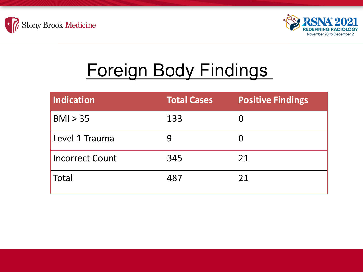



## Foreign Body Findings

| <b>Indication</b>      | <b>Total Cases</b> | <b>Positive Findings</b> |
|------------------------|--------------------|--------------------------|
| BMI > 35               | 133                |                          |
| Level 1 Trauma         | 9                  | O                        |
| <b>Incorrect Count</b> | 345                | 21                       |
| <b>Total</b>           | 487                | 21                       |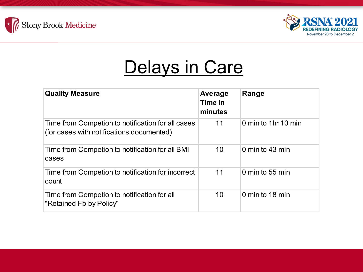



#### Delays in Care

| <b>Quality Measure</b>                                                                         | Average<br>Time in<br>minutes | Range               |
|------------------------------------------------------------------------------------------------|-------------------------------|---------------------|
| Time from Competion to notification for all cases<br>(for cases with notifications documented) | 11                            | 0 min to 1hr 10 min |
| Time from Competion to notification for all BMI<br>cases                                       | 10                            | 0 min to 43 min     |
| Time from Competion to notification for incorrect<br>count                                     | 11                            | 0 min to 55 min     |
| Time from Competion to notification for all<br>"Retained Fb by Policy"                         | 10                            | 0 min to 18 min     |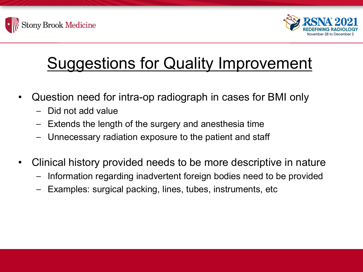



#### Suggestions for Quality Improvement

- Question need for intra-op radiograph in cases for BMI only
	- Did not add value
	- Extends the length of the surgery and anesthesia time
	- Unnecessary radiation exposure to the patient and staff
- Clinical history provided needs to be more descriptive in nature
	- Information regarding inadvertent foreign bodies need to be provided
	- Examples: surgical packing, lines, tubes, instruments, etc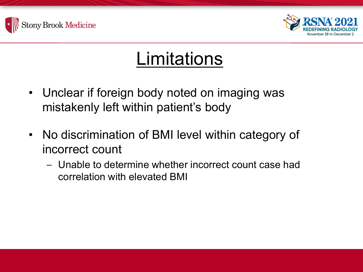



#### **Limitations**

- Unclear if foreign body noted on imaging was mistakenly left within patient's body
- No discrimination of BMI level within category of incorrect count
	- Unable to determine whether incorrect count case had correlation with elevated BMI